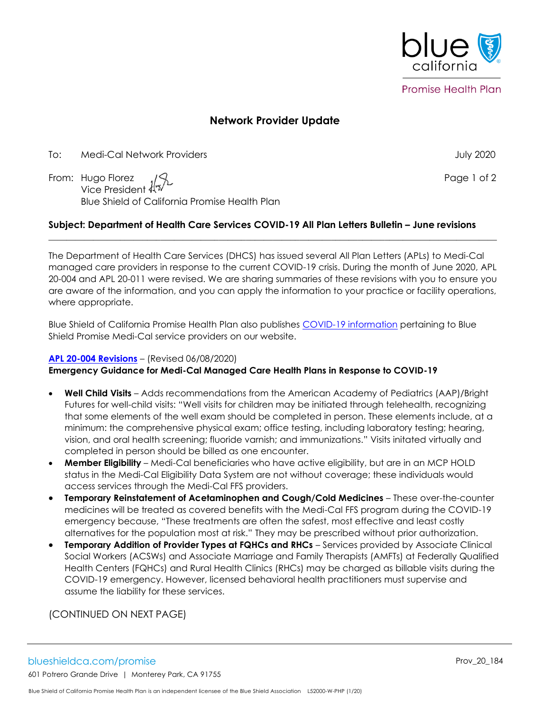

**Promise Health Plan** 

# **Network Provider Update**

To: Medi-Cal Network Providers July 2020

From: Hugo Florez  $\sqrt{2}$ Vice President Blue Shield of California Promise Health Plan

## **Subject: Department of Health Care Services COVID-19 All Plan Letters Bulletin – June revisions**

The Department of Health Care Services (DHCS) has issued several All Plan Letters (APLs) to Medi-Cal managed care providers in response to the current COVID-19 crisis. During the month of June 2020, APL 20-004 and APL 20-011 were revised. We are sharing summaries of these revisions with you to ensure you are aware of the information, and you can apply the information to your practice or facility operations, where appropriate.

 $\mathcal{L}_\mathcal{L} = \{ \mathcal{L}_\mathcal{L} = \{ \mathcal{L}_\mathcal{L} = \{ \mathcal{L}_\mathcal{L} = \{ \mathcal{L}_\mathcal{L} = \{ \mathcal{L}_\mathcal{L} = \{ \mathcal{L}_\mathcal{L} = \{ \mathcal{L}_\mathcal{L} = \{ \mathcal{L}_\mathcal{L} = \{ \mathcal{L}_\mathcal{L} = \{ \mathcal{L}_\mathcal{L} = \{ \mathcal{L}_\mathcal{L} = \{ \mathcal{L}_\mathcal{L} = \{ \mathcal{L}_\mathcal{L} = \{ \mathcal{L}_\mathcal{$ 

Blue Shield of California Promise Health Plan also publishes [COVID-19 information](https://www.blueshieldca.com/bsca/bsc/wcm/connect/provider/provider_content_en/guidelines_resources/COVID-19-network-providers-info) pertaining to Blue Shield Promise Medi-Cal service providers on our website.

#### **[APL 20-004](https://www.dhcs.ca.gov/formsandpubs/Documents/MMCDAPLsandPolicyLetters/APL2020/APL20-004.pdf) Revisions** – (Revised 06/08/2020)

#### **Emergency Guidance for Medi-Cal Managed Care Health Plans in Response to COVID-19**

- **Well Child Visits** Adds recommendations from the American Academy of Pediatrics (AAP)/Bright Futures for well-child visits: "Well visits for children may be initiated through telehealth, recognizing that some elements of the well exam should be completed in person. These elements include, at a minimum: the comprehensive physical exam; office testing, including laboratory testing; hearing, vision, and oral health screening; fluoride varnish; and immunizations." Visits initated virtually and completed in person should be billed as one encounter.
- **Member Eligibility** Medi-Cal beneficiaries who have active eligibility, but are in an MCP HOLD status in the Medi-Cal Eligibility Data System are not without coverage; these individuals would access services through the Medi-Cal FFS providers.
- **Temporary Reinstatement of Acetaminophen and Cough/Cold Medicines** These over-the-counter medicines will be treated as covered benefits with the Medi-Cal FFS program during the COVID-19 emergency because, "These treatments are often the safest, most effective and least costly alternatives for the population most at risk." They may be prescribed without prior authorization.
- **Temporary Addition of Provider Types at FQHCs and RHCs** Services provided by Associate Clinical Social Workers (ACSWs) and Associate Marriage and Family Therapists (AMFTs) at Federally Qualified Health Centers (FQHCs) and Rural Health Clinics (RHCs) may be charged as billable visits during the COVID-19 emergency. However, licensed behavioral health practitioners must supervise and assume the liability for these services.

(CONTINUED ON NEXT PAGE)